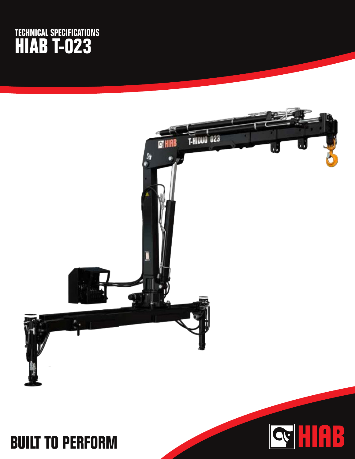## **TECHNICAL SPECIFICATIONS HIAB T-023**



## **BUILT TO PERFORM**